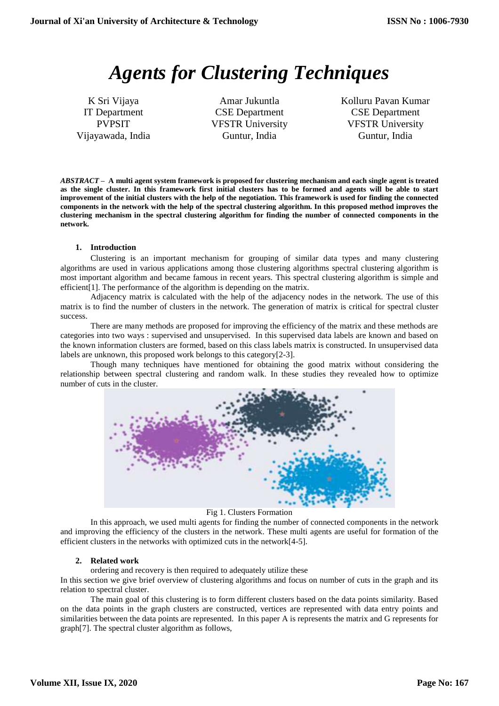# *Agents for Clustering Techniques*

K Sri Vijaya IT Department PVPSIT Vijayawada, India

Amar Jukuntla CSE Department VFSTR University Guntur, India

Kolluru Pavan Kumar CSE Department VFSTR University Guntur, India

*ABSTRACT –* **A multi agent system framework is proposed for clustering mechanism and each single agent is treated as the single cluster. In this framework first initial clusters has to be formed and agents will be able to start improvement of the initial clusters with the help of the negotiation. This framework is used for finding the connected components in the network with the help of the spectral clustering algorithm. In this proposed method improves the clustering mechanism in the spectral clustering algorithm for finding the number of connected components in the network.** 

## **1. Introduction**

Clustering is an important mechanism for grouping of similar data types and many clustering algorithms are used in various applications among those clustering algorithms spectral clustering algorithm is most important algorithm and became famous in recent years. This spectral clustering algorithm is simple and efficient[1]. The performance of the algorithm is depending on the matrix.

Adjacency matrix is calculated with the help of the adjacency nodes in the network. The use of this matrix is to find the number of clusters in the network. The generation of matrix is critical for spectral cluster success.

There are many methods are proposed for improving the efficiency of the matrix and these methods are categories into two ways : supervised and unsupervised. In this supervised data labels are known and based on the known information clusters are formed, based on this class labels matrix is constructed. In unsupervised data labels are unknown, this proposed work belongs to this category[2-3].

Though many techniques have mentioned for obtaining the good matrix without considering the relationship between spectral clustering and random walk. In these studies they revealed how to optimize number of cuts in the cluster.



Fig 1. Clusters Formation

In this approach, we used multi agents for finding the number of connected components in the network and improving the efficiency of the clusters in the network. These multi agents are useful for formation of the efficient clusters in the networks with optimized cuts in the network[4-5].

## **2. Related work**

ordering and recovery is then required to adequately utilize these

In this section we give brief overview of clustering algorithms and focus on number of cuts in the graph and its relation to spectral cluster.

The main goal of this clustering is to form different clusters based on the data points similarity. Based on the data points in the graph clusters are constructed, vertices are represented with data entry points and similarities between the data points are represented. In this paper A is represents the matrix and G represents for graph[7]. The spectral cluster algorithm as follows,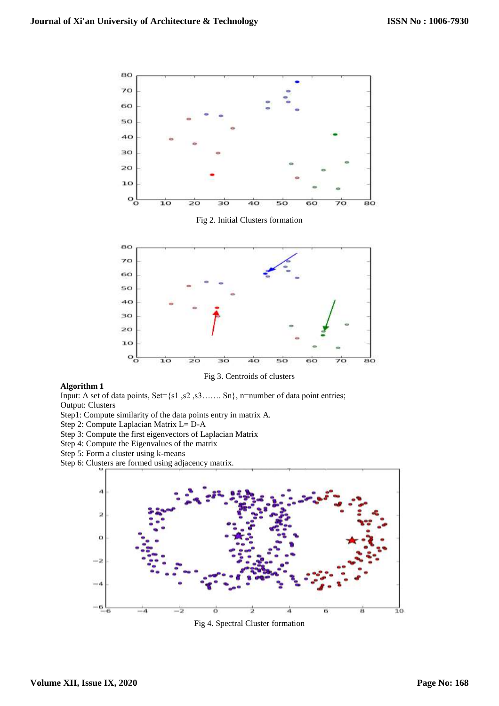

#### **Algorithm 1**

Input: A set of data points, Set={s1 ,s2 ,s3……. Sn}, n=number of data point entries; Output: Clusters

- Step1: Compute similarity of the data points entry in matrix A.
- Step 2: Compute Laplacian Matrix L= D-A
- Step 3: Compute the first eigenvectors of Laplacian Matrix
- Step 4: Compute the Eigenvalues of the matrix
- Step 5: Form a cluster using k-means
- Step 6: Clusters are formed using adjacency matrix.



Fig 4. Spectral Cluster formation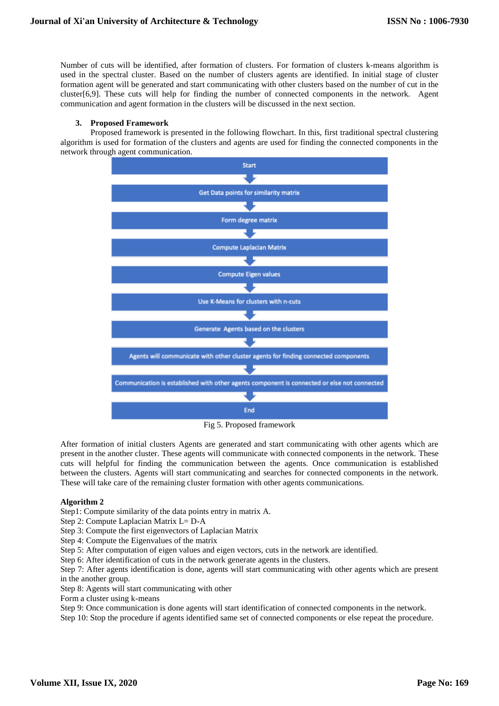Number of cuts will be identified, after formation of clusters. For formation of clusters k-means algorithm is used in the spectral cluster. Based on the number of clusters agents are identified. In initial stage of cluster formation agent will be generated and start communicating with other clusters based on the number of cut in the cluster[6,9]. These cuts will help for finding the number of connected components in the network. Agent communication and agent formation in the clusters will be discussed in the next section.

#### **3. Proposed Framework**

Proposed framework is presented in the following flowchart. In this, first traditional spectral clustering algorithm is used for formation of the clusters and agents are used for finding the connected components in the network through agent communication.



Fig 5. Proposed framework

After formation of initial clusters Agents are generated and start communicating with other agents which are present in the another cluster. These agents will communicate with connected components in the network. These cuts will helpful for finding the communication between the agents. Once communication is established between the clusters. Agents will start communicating and searches for connected components in the network. These will take care of the remaining cluster formation with other agents communications.

#### **Algorithm 2**

Step1: Compute similarity of the data points entry in matrix A.

Step 2: Compute Laplacian Matrix L= D-A

Step 3: Compute the first eigenvectors of Laplacian Matrix

Step 4: Compute the Eigenvalues of the matrix

Step 5: After computation of eigen values and eigen vectors, cuts in the network are identified.

Step 6: After identification of cuts in the network generate agents in the clusters.

Step 7: After agents identification is done, agents will start communicating with other agents which are present in the another group.

Step 8: Agents will start communicating with other

Form a cluster using k-means

Step 9: Once communication is done agents will start identification of connected components in the network.

Step 10: Stop the procedure if agents identified same set of connected components or else repeat the procedure.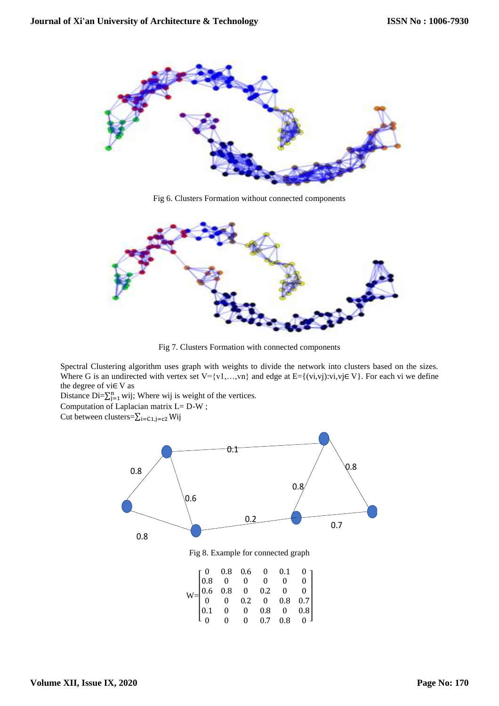

Fig 6. Clusters Formation without connected components



Fig 7. Clusters Formation with connected components

Spectral Clustering algorithm uses graph with weights to divide the network into clusters based on the sizes. Where G is an undirected with vertex set V={v1,...,vn} and edge at E={(vi,vj):vi,vj∈ V}. For each vi we define the degree of vi $\in$  V as

Distance Di= $\sum_{j=1}^{n}$  wij; Where wij is weight of the vertices. Computation of Laplacian matrix L= D-W ;

Cut between clusters= $\sum_{i=C_1,j=C_2}$  Wij



 $0 \t 0 \t 0.7 \t 0.8 \t 0$ 

 $\lfloor 0 \rfloor$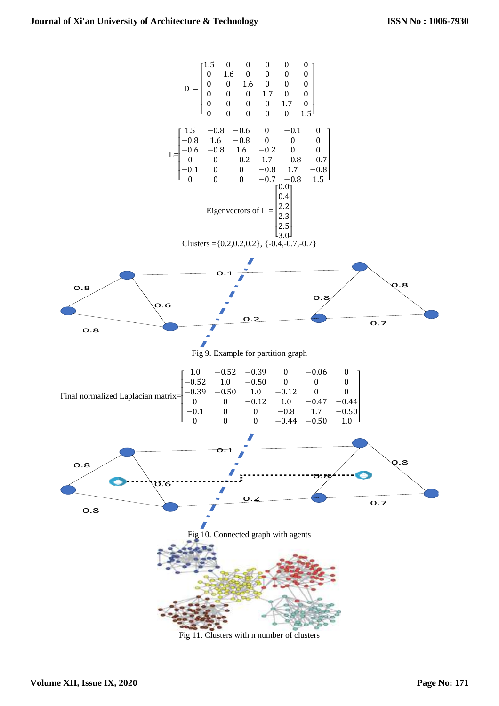

Fig 11. Clusters with n number of clusters